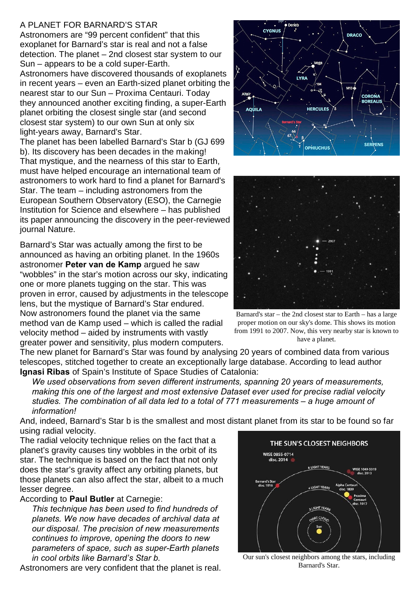## A PLANET FOR BARNARD'S STAR

Astronomers are "99 percent confident" that this exoplanet for Barnard's star is real and not a false detection. The planet – 2nd closest star system to our Sun – appears to be a cold super-Earth.

Astronomers have discovered thousands of exoplanets in recent years – even an Earth-sized planet orbiting the nearest star to our Sun – Proxima Centauri. Today they announced another exciting finding, a super-Earth planet orbiting the closest single star (and second closest star system) to our own Sun at only six light-years away, Barnard's Star.

The planet has been labelled Barnard's Star b (GJ 699 b). Its discovery has been decades in the making! That mystique, and the nearness of this star to Earth, must have helped encourage an international team of astronomers to work hard to find a planet for Barnard's Star. The team – including astronomers from the European Southern Observatory (ESO), the Carnegie Institution for Science and elsewhere – has published its paper announcing the discovery in the peer-reviewed journal Nature.

Barnard's Star was actually among the first to be announced as having an orbiting planet. In the 1960s astronomer **Peter van de Kamp** argued he saw "wobbles" in the star's motion across our sky, indicating one or more planets tugging on the star. This was proven in error, caused by adjustments in the telescope lens, but the mystique of Barnard's Star endured. Now astronomers found the planet via the same method van de Kamp used – which is called the radial velocity method – aided by instruments with vastly greater power and sensitivity, plus modern computers.





Barnard's star – the 2nd closest star to Earth – has a large proper motion on our sky's dome. This shows its motion from 1991 to 2007. Now, this very nearby star is known to have a planet.

The new planet for Barnard's Star was found by analysing 20 years of combined data from various telescopes, stitched together to create an exceptionally large database. According to lead author **Ignasi Ribas** of Spain's Institute of Space Studies of Catalonia:

*We used observations from seven different instruments, spanning 20 years of measurements, making this one of the largest and most extensive Dataset ever used for precise radial velocity studies. The combination of all data led to a total of 771 measurements – a huge amount of information!*

And, indeed, Barnard's Star b is the smallest and most distant planet from its star to be found so far using radial velocity.

The radial velocity technique relies on the fact that a planet's gravity causes tiny wobbles in the orbit of its star. The technique is based on the fact that not only does the star's gravity affect any orbiting planets, but those planets can also affect the star, albeit to a much lesser degree.

## According to **Paul Butler** at Carnegie:

*This technique has been used to find hundreds of planets. We now have decades of archival data at our disposal. The precision of new measurements continues to improve, opening the doors to new parameters of space, such as super-Earth planets in cool orbits like Barnard's Star b.*

Astronomers are very confident that the planet is real.



Our sun's closest neighbors among the stars, including Barnard's Star.